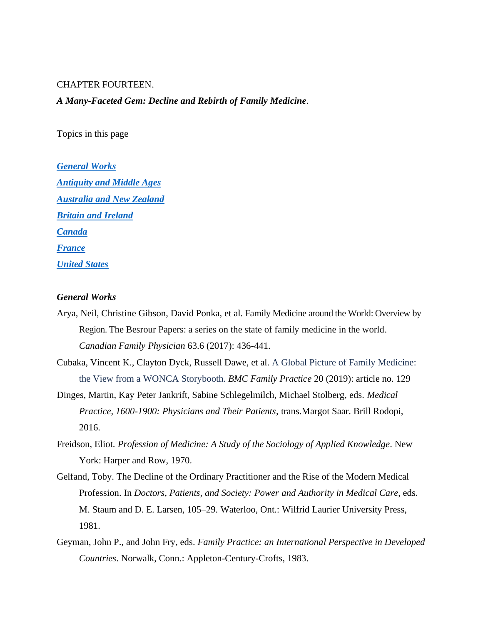### CHAPTER FOURTEEN.

### *A Many-Faceted Gem: Decline and Rebirth of Family Medicine*.

Topics in this page

*[General Works](#page-0-0) [Antiquity and Middle Ages](#page-1-0) Australia [and New Zealand](#page-1-1) [Britain and Ireland](#page-1-2) [Canada](#page-4-0) [France](#page-7-0) [United States](#page-7-1)*

## <span id="page-0-0"></span>*General Works*

- Arya, Neil, Christine Gibson, David Ponka, et al. Family Medicine around the World: Overview by Region. The Besrour Papers: a series on the state of family medicine in the world. *Canadian Family Physician* 63.6 (2017): 436-441.
- Cubaka, Vincent K., Clayton Dyck, Russell Dawe, et al. A Global Picture of Family Medicine: the View from a WONCA Storybooth. *BMC Family Practice* 20 (2019): article no. 129
- Dinges, Martin, Kay Peter Jankrift, Sabine Schlegelmilch, Michael Stolberg, eds. *Medical Practice, 1600-1900: Physicians and Their Patients,* trans.Margot Saar. Brill Rodopi, 2016.
- Freidson, Eliot. *Profession of Medicine: A Study of the Sociology of Applied Knowledge*. New York: Harper and Row, 1970.
- Gelfand, Toby. The Decline of the Ordinary Practitioner and the Rise of the Modern Medical Profession. In *Doctors, Patients, and Society: Power and Authority in Medical Care*, eds. M. Staum and D. E. Larsen, 105–29. Waterloo, Ont.: Wilfrid Laurier University Press, 1981.
- Geyman, John P., and John Fry, eds. *Family Practice: an International Perspective in Developed Countries*. Norwalk, Conn.: Appleton-Century-Crofts, 1983.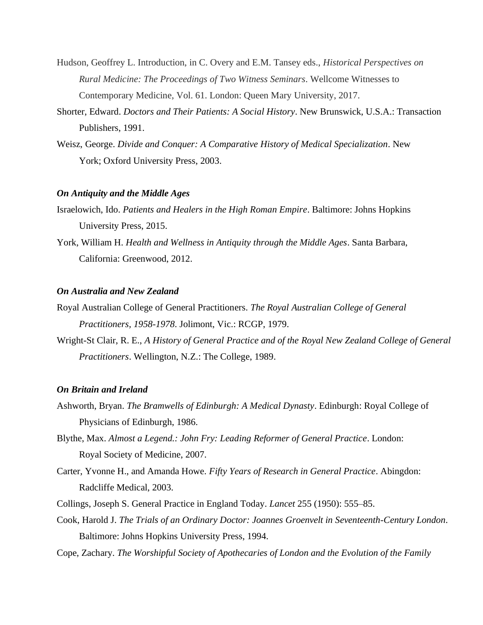- Hudson, Geoffrey L. Introduction, in C. Overy and E.M. Tansey eds., *Historical Perspectives on Rural Medicine: The Proceedings of Two Witness Seminars*. Wellcome Witnesses to Contemporary Medicine, Vol. 61. London: Queen Mary University, 2017.
- Shorter, Edward. *Doctors and Their Patients: A Social History*. New Brunswick, U.S.A.: Transaction Publishers, 1991.
- Weisz, George. *Divide and Conquer: A Comparative History of Medical Specialization*. New York; Oxford University Press, 2003.

## <span id="page-1-0"></span>*On Antiquity and the Middle Ages*

- Israelowich, Ido. *Patients and Healers in the High Roman Empire*. Baltimore: Johns Hopkins University Press, 2015.
- York, William H. *Health and Wellness in Antiquity through the Middle Ages*. Santa Barbara, California: Greenwood, 2012.

### <span id="page-1-1"></span>*On Australia and New Zealand*

- Royal Australian College of General Practitioners. *The Royal Australian College of General Practitioners, 1958-1978*. Jolimont, Vic.: RCGP, 1979.
- Wright-St Clair, R. E., *A History of General Practice and of the Royal New Zealand College of General Practitioners*. Wellington, N.Z.: The College, 1989.

#### <span id="page-1-2"></span>*On Britain and Ireland*

- Ashworth, Bryan. *The Bramwells of Edinburgh: A Medical Dynasty*. Edinburgh: Royal College of Physicians of Edinburgh, 1986.
- Blythe, Max. *Almost a Legend.: John Fry: Leading Reformer of General Practice*. London: Royal Society of Medicine, 2007.
- Carter, Yvonne H., and Amanda Howe. *Fifty Years of Research in General Practice*. Abingdon: Radcliffe Medical, 2003.
- Collings, Joseph S. General Practice in England Today. *Lancet* 255 (1950): 555–85.
- Cook, Harold J. *The Trials of an Ordinary Doctor: Joannes Groenvelt in Seventeenth-Century London*. Baltimore: Johns Hopkins University Press, 1994.
- Cope, Zachary. *The Worshipful Society of Apothecaries of London and the Evolution of the Family*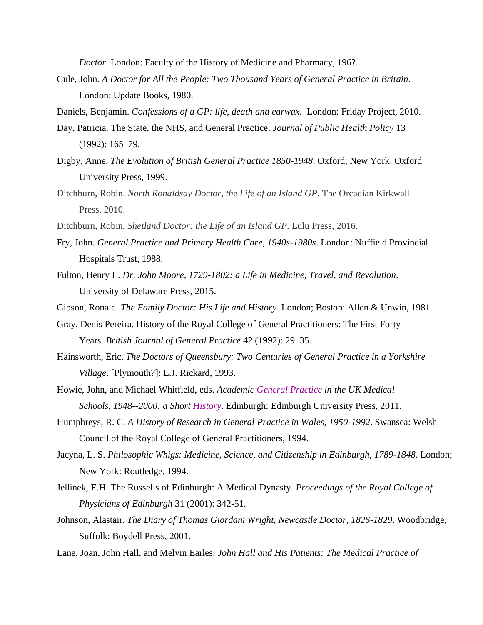*Doctor*. London: Faculty of the History of Medicine and Pharmacy, 196?.

Cule, John. *A Doctor for All the People: Two Thousand Years of General Practice in Britain*. London: Update Books, 1980.

Daniels, Benjamin. *Confessions of a GP: life, death and earwax.* London: Friday Project, 2010.

- Day, Patricia. The State, the NHS, and General Practice. *Journal of Public Health Policy* 13 (1992): 165–79.
- Digby, Anne. *The Evolution of British General Practice 1850-1948*. Oxford; New York: Oxford University Press, 1999.
- Ditchburn, Robin. *North Ronaldsay Doctor, the Life of an Island GP*. The Orcadian Kirkwall Press, 2010.
- Ditchburn, Robin**.** *Shetland Doctor: the Life of an Island GP*. Lulu Press, 2016.
- Fry, John. *General Practice and Primary Health Care, 1940s-1980s*. London: Nuffield Provincial Hospitals Trust, 1988.
- Fulton, Henry L. *Dr. John Moore, 1729-1802: a Life in Medicine, Travel, and Revolution*. University of Delaware Press, 2015.
- Gibson, Ronald. *The Family Doctor: His Life and History*. London; Boston: Allen & Unwin, 1981.
- Gray, Denis Pereira. History of the Royal College of General Practitioners: The First Forty Years. *British Journal of General Practice* 42 (1992): 29–35.
- Hainsworth, Eric. *The Doctors of Queensbury: Two Centuries of General Practice in a Yorkshire Village*. [Plymouth?]: E.J. Rickard, 1993.
- Howie, John, and Michael Whitfield, eds. *Academic General Practice in the UK Medical Schools, 1948--2000: a Short History*. Edinburgh: Edinburgh University Press, 2011.
- Humphreys, R. C. *A History of Research in General Practice in Wales, 1950-1992*. Swansea: Welsh Council of the Royal College of General Practitioners, 1994.
- Jacyna, L. S. *Philosophic Whigs: Medicine, Science, and Citizenship in Edinburgh, 1789-1848*. London; New York: Routledge, 1994.
- Jellinek, E.H. The Russells of Edinburgh: A Medical Dynasty. *Proceedings of the Royal College of Physicians of Edinburgh* 31 (2001): 342-51.
- Johnson, Alastair. *The Diary of Thomas Giordani Wright, Newcastle Doctor, 1826-1829*. Woodbridge, Suffolk: Boydell Press, 2001.
- Lane, Joan, John Hall, and Melvin Earles. *John Hall and His Patients: The Medical Practice of*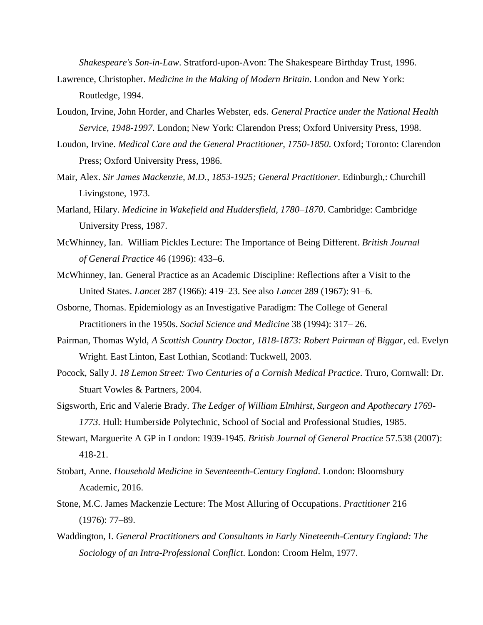*Shakespeare's Son-in-Law*. Stratford-upon-Avon: The Shakespeare Birthday Trust, 1996.

- Lawrence, Christopher. *Medicine in the Making of Modern Britain*. London and New York: Routledge, 1994.
- Loudon, Irvine, John Horder, and Charles Webster, eds. *General Practice under the National Health Service, 1948-1997*. London; New York: Clarendon Press; Oxford University Press, 1998.
- Loudon, Irvine. *Medical Care and the General Practitioner, 1750-1850*. Oxford; Toronto: Clarendon Press; Oxford University Press, 1986.
- Mair, Alex. *Sir James Mackenzie, M.D., 1853-1925; General Practitioner*. Edinburgh,: Churchill Livingstone, 1973.
- Marland, Hilary. *Medicine in Wakefield and Huddersfield, 1780–1870*. Cambridge: Cambridge University Press, 1987.
- McWhinney, Ian. William Pickles Lecture: The Importance of Being Different. *British Journal of General Practice* 46 (1996): 433–6.
- McWhinney, Ian. General Practice as an Academic Discipline: Reflections after a Visit to the United States. *Lancet* 287 (1966): 419–23. See also *Lancet* 289 (1967): 91–6.
- Osborne, Thomas. Epidemiology as an Investigative Paradigm: The College of General Practitioners in the 1950s. *Social Science and Medicine* 38 (1994): 317– 26.
- Pairman, Thomas Wyld, *A Scottish Country Doctor, 1818-1873: Robert Pairman of Biggar*, ed. Evelyn Wright. East Linton, East Lothian, Scotland: Tuckwell, 2003.
- Pocock, Sally J. *18 Lemon Street: Two Centuries of a Cornish Medical Practice*. Truro, Cornwall: Dr. Stuart Vowles & Partners, 2004.
- Sigsworth, Eric and Valerie Brady. *The Ledger of William Elmhirst, Surgeon and Apothecary 1769- 1773*. Hull: Humberside Polytechnic, School of Social and Professional Studies, 1985.
- Stewart, Marguerite A GP in London: 1939-1945. *British Journal of General Practice* 57.538 (2007): 418-21.
- Stobart, Anne. *Household Medicine in Seventeenth-Century England*. London: Bloomsbury Academic, 2016.
- Stone, M.C. James Mackenzie Lecture: The Most Alluring of Occupations. *Practitioner* 216 (1976): 77–89.
- Waddington, I. *General Practitioners and Consultants in Early Nineteenth-Century England: The Sociology of an Intra-Professional Conflict*. London: Croom Helm, 1977.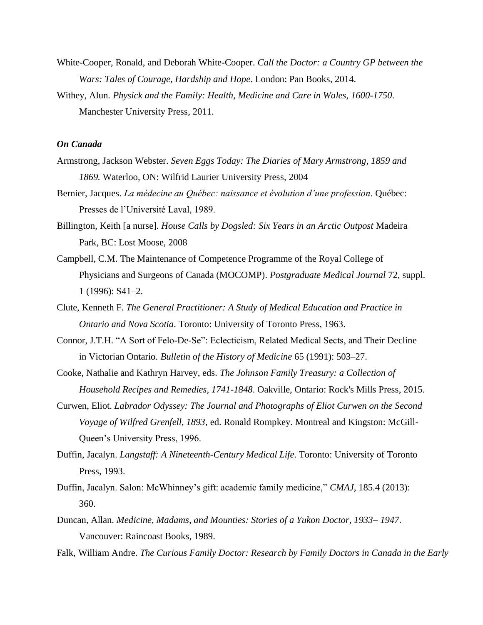- White-Cooper, Ronald, and Deborah White-Cooper. *Call the Doctor: a Country GP between the Wars: Tales of Courage, Hardship and Hope*. London: Pan Books, 2014.
- Withey, Alun. *Physick and the Family: Health, Medicine and Care in Wales, 1600-1750*. Manchester University Press, 2011.

# <span id="page-4-0"></span>*On Canada*

- Armstrong, Jackson Webster. *Seven Eggs Today: The Diaries of Mary Armstrong, 1859 and 1869.* Waterloo, ON: Wilfrid Laurier University Press, 2004
- Bernier, Jacques. *La médecine au Québec: naissance et évolution d'une profession*. Québec: Presses de l'Université Laval, 1989.
- Billington, Keith [a nurse]. *House Calls by Dogsled: Six Years in an Arctic Outpost* Madeira Park, BC: Lost Moose, 2008
- Campbell, C.M. The Maintenance of Competence Programme of the Royal College of Physicians and Surgeons of Canada (MOCOMP). *Postgraduate Medical Journal* 72, suppl. 1 (1996): S41–2.
- Clute, Kenneth F. *The General Practitioner: A Study of Medical Education and Practice in Ontario and Nova Scotia*. Toronto: University of Toronto Press, 1963.
- Connor, J.T.H. "A Sort of Felo-De-Se": Eclecticism, Related Medical Sects, and Their Decline in Victorian Ontario. *Bulletin of the History of Medicine* 65 (1991): 503–27.
- Cooke, Nathalie and Kathryn Harvey, eds. *The Johnson Family Treasury: a Collection of Household Recipes and Remedies, 1741-1848*. Oakville, Ontario: Rock's Mills Press, 2015.
- Curwen, Eliot. *Labrador Odyssey: The Journal and Photographs of Eliot Curwen on the Second Voyage of Wilfred Grenfell, 1893*, ed. Ronald Rompkey. Montreal and Kingston: McGill-Queen's University Press, 1996.
- Duffin, Jacalyn. *Langstaff: A Nineteenth-Century Medical Life*. Toronto: University of Toronto Press, 1993.
- Duffin, Jacalyn. Salon: McWhinney's gift: academic family medicine," *CMAJ*, 185.4 (2013): 360.
- Duncan, Allan. *Medicine, Madams, and Mounties: Stories of a Yukon Doctor, 1933– 1947*. Vancouver: Raincoast Books, 1989.
- Falk, William Andre. *The Curious Family Doctor: Research by Family Doctors in Canada in the Early*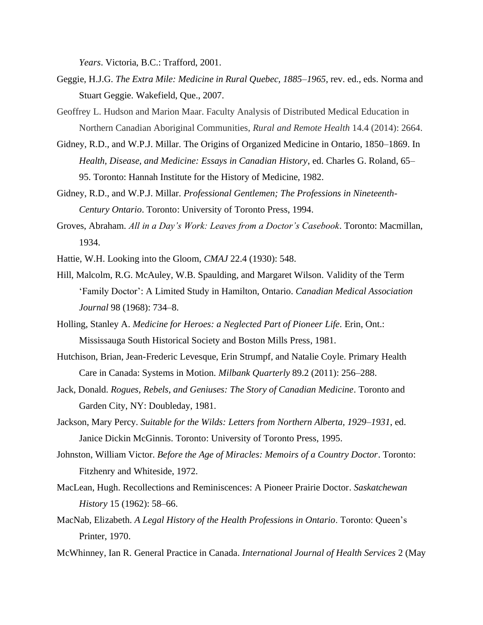*Years*. Victoria, B.C.: Trafford, 2001.

- Geggie, H.J.G. *The Extra Mile: Medicine in Rural Quebec, 1885–1965*, rev. ed., eds. Norma and Stuart Geggie. Wakefield, Que., 2007.
- Geoffrey L. Hudson and Marion Maar. Faculty Analysis of Distributed Medical Education in Northern Canadian Aboriginal Communities, *Rural and Remote Health* 14.4 (2014): 2664.
- Gidney, R.D., and W.P.J. Millar. The Origins of Organized Medicine in Ontario, 1850–1869. In *Health, Disease, and Medicine: Essays in Canadian History*, ed. Charles G. Roland, 65– 95. Toronto: Hannah Institute for the History of Medicine, 1982.
- Gidney, R.D., and W.P.J. Millar. *Professional Gentlemen; The Professions in Nineteenth-Century Ontario*. Toronto: University of Toronto Press, 1994.
- Groves, Abraham. *All in a Day's Work: Leaves from a Doctor's Casebook*. Toronto: Macmillan, 1934.
- Hattie, W.H. Looking into the Gloom, *CMAJ* 22.4 (1930): 548.
- Hill, Malcolm, R.G. McAuley, W.B. Spaulding, and Margaret Wilson. Validity of the Term 'Family Doctor': A Limited Study in Hamilton, Ontario. *Canadian Medical Association Journal* 98 (1968): 734–8.
- Holling, Stanley A. *Medicine for Heroes: a Neglected Part of Pioneer Life*. Erin, Ont.: Mississauga South Historical Society and Boston Mills Press, 1981.
- Hutchison, Brian, Jean-Frederic Levesque, Erin Strumpf, and Natalie Coyle. Primary Health Care in Canada: Systems in Motion. *Milbank Quarterly* 89.2 (2011): 256–288.
- Jack, Donald. *Rogues, Rebels, and Geniuses: The Story of Canadian Medicine*. Toronto and Garden City, NY: Doubleday, 1981.
- Jackson, Mary Percy. *Suitable for the Wilds: Letters from Northern Alberta, 1929–1931*, ed. Janice Dickin McGinnis. Toronto: University of Toronto Press, 1995.
- Johnston, William Victor. *Before the Age of Miracles: Memoirs of a Country Doctor*. Toronto: Fitzhenry and Whiteside, 1972.
- MacLean, Hugh. Recollections and Reminiscences: A Pioneer Prairie Doctor. *Saskatchewan History* 15 (1962): 58–66.
- MacNab, Elizabeth. *A Legal History of the Health Professions in Ontario*. Toronto: Queen's Printer, 1970.
- McWhinney, Ian R. General Practice in Canada. *International Journal of Health Services* 2 (May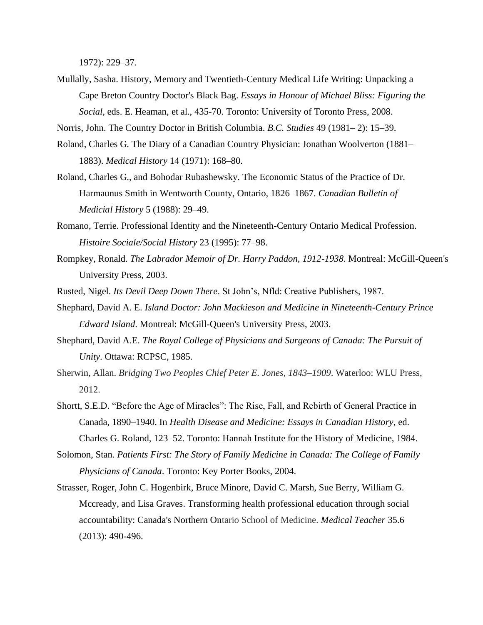1972): 229–37.

Mullally, Sasha. History, Memory and Twentieth-Century Medical Life Writing: Unpacking a Cape Breton Country Doctor's Black Bag. *Essays in Honour of Michael Bliss: Figuring the Social,* eds. E. Heaman, et al., 435-70. Toronto: University of Toronto Press, 2008.

Norris, John. The Country Doctor in British Columbia. *B.C. Studies* 49 (1981– 2): 15–39.

- Roland, Charles G. The Diary of a Canadian Country Physician: Jonathan Woolverton (1881– 1883). *Medical History* 14 (1971): 168–80.
- Roland, Charles G., and Bohodar Rubashewsky. The Economic Status of the Practice of Dr. Harmaunus Smith in Wentworth County, Ontario, 1826–1867. *Canadian Bulletin of Medicial History* 5 (1988): 29–49.
- Romano, Terrie. Professional Identity and the Nineteenth-Century Ontario Medical Profession. *Histoire Sociale/Social History* 23 (1995): 77–98.
- Rompkey, Ronald. *The Labrador Memoir of Dr. Harry Paddon, 1912-1938*. Montreal: McGill-Queen's University Press, 2003.
- Rusted, Nigel. *Its Devil Deep Down There*. St John's, Nfld: Creative Publishers, 1987.
- Shephard, David A. E. *Island Doctor: John Mackieson and Medicine in Nineteenth-Century Prince Edward Island*. Montreal: McGill-Queen's University Press, 2003.
- Shephard, David A.E. *The Royal College of Physicians and Surgeons of Canada: The Pursuit of Unity*. Ottawa: RCPSC, 1985.
- Sherwin, Allan. *Bridging Two Peoples Chief Peter E. Jones, 1843–1909*. Waterloo: WLU Press, 2012.
- Shortt, S.E.D. "Before the Age of Miracles": The Rise, Fall, and Rebirth of General Practice in Canada, 1890–1940. In *Health Disease and Medicine: Essays in Canadian History*, ed. Charles G. Roland, 123–52. Toronto: Hannah Institute for the History of Medicine, 1984.
- Solomon, Stan. *Patients First: The Story of Family Medicine in Canada: The College of Family Physicians of Canada*. Toronto: Key Porter Books, 2004.
- Strasser, Roger, John C. Hogenbirk, Bruce Minore, David C. Marsh, Sue Berry, William G. Mccready, and Lisa Graves. Transforming health professional education through social accountability: Canada's Northern Ontario School of Medicine. *Medical Teacher* 35.6 (2013): 490-496.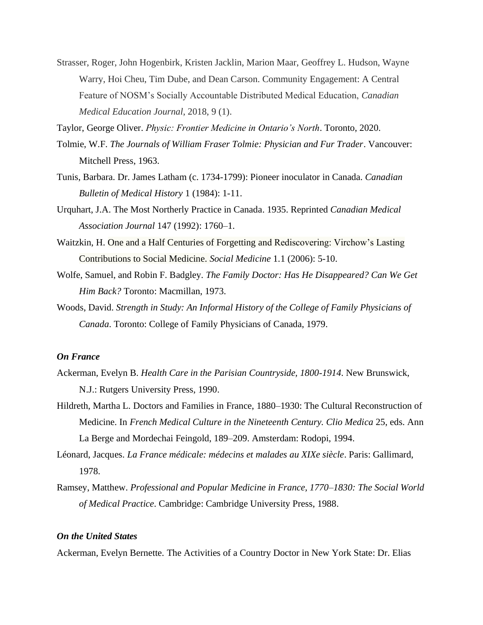Strasser, Roger, John Hogenbirk, Kristen Jacklin, Marion Maar, Geoffrey L. Hudson, Wayne Warry, Hoi Cheu, Tim Dube, and Dean Carson. Community Engagement: A Central Feature of NOSM's Socially Accountable Distributed Medical Education, *Canadian Medical Education Journal*, 2018, 9 (1).

Taylor, George Oliver. *Physic: Frontier Medicine in Ontario's North*. Toronto, 2020.

- Tolmie, W.F. *The Journals of William Fraser Tolmie: Physician and Fur Trader*. Vancouver: Mitchell Press, 1963.
- Tunis, Barbara. Dr. James Latham (c. 1734-1799): Pioneer inoculator in Canada. *Canadian Bulletin of Medical History* 1 (1984): 1-11.
- Urquhart, J.A. The Most Northerly Practice in Canada. 1935. Reprinted *Canadian Medical Association Journal* 147 (1992): 1760–1.
- Waitzkin, H. One and a Half Centuries of Forgetting and Rediscovering: Virchow's Lasting Contributions to Social Medicine. *Social Medicine* 1.1 (2006): 5-10.
- Wolfe, Samuel, and Robin F. Badgley. *The Family Doctor: Has He Disappeared? Can We Get Him Back?* Toronto: Macmillan, 1973.
- Woods, David. *Strength in Study: An Informal History of the College of Family Physicians of Canada*. Toronto: College of Family Physicians of Canada, 1979.

# <span id="page-7-0"></span>*On France*

- Ackerman, Evelyn B. *Health Care in the Parisian Countryside, 1800-1914*. New Brunswick, N.J.: Rutgers University Press, 1990.
- Hildreth, Martha L. Doctors and Families in France, 1880–1930: The Cultural Reconstruction of Medicine. In *French Medical Culture in the Nineteenth Century. Clio Medica* 25, eds. Ann La Berge and Mordechai Feingold, 189–209. Amsterdam: Rodopi, 1994.
- Léonard, Jacques. *La France médicale: médecins et malades au XIXe siècle*. Paris: Gallimard, 1978.
- Ramsey, Matthew. *Professional and Popular Medicine in France, 1770–1830: The Social World of Medical Practice*. Cambridge: Cambridge University Press, 1988.

### <span id="page-7-1"></span>*On the United States*

Ackerman, Evelyn Bernette. The Activities of a Country Doctor in New York State: Dr. Elias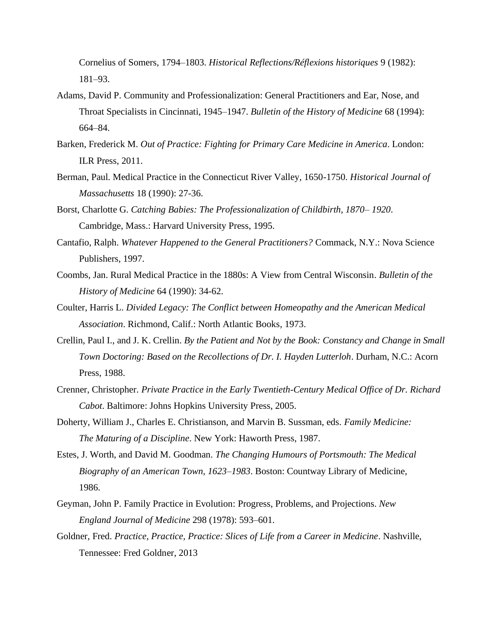Cornelius of Somers, 1794–1803. *Historical Reflections/Réflexions historiques* 9 (1982): 181–93.

- Adams, David P. Community and Professionalization: General Practitioners and Ear, Nose, and Throat Specialists in Cincinnati, 1945–1947. *Bulletin of the History of Medicine* 68 (1994): 664–84.
- Barken, Frederick M. *Out of Practice: Fighting for Primary Care Medicine in America*. London: ILR Press, 2011.
- Berman, Paul. Medical Practice in the Connecticut River Valley, 1650-1750. *Historical Journal of Massachusetts* 18 (1990): 27-36.
- Borst, Charlotte G. *Catching Babies: The Professionalization of Childbirth, 1870– 1920*. Cambridge, Mass.: Harvard University Press, 1995.
- Cantafio, Ralph. *Whatever Happened to the General Practitioners?* Commack, N.Y.: Nova Science Publishers, 1997.
- Coombs, Jan. Rural Medical Practice in the 1880s: A View from Central Wisconsin. *Bulletin of the History of Medicine* 64 (1990): 34-62.
- Coulter, Harris L. *Divided Legacy: The Conflict between Homeopathy and the American Medical Association*. Richmond, Calif.: North Atlantic Books, 1973.
- Crellin, Paul I., and J. K. Crellin. *By the Patient and Not by the Book: Constancy and Change in Small Town Doctoring: Based on the Recollections of Dr. I. Hayden Lutterloh*. Durham, N.C.: Acorn Press, 1988.
- Crenner, Christopher. *Private Practice in the Early Twentieth-Century Medical Office of Dr. Richard Cabot*. Baltimore: Johns Hopkins University Press, 2005.
- Doherty, William J., Charles E. Christianson, and Marvin B. Sussman, eds. *Family Medicine: The Maturing of a Discipline*. New York: Haworth Press, 1987.
- Estes, J. Worth, and David M. Goodman. *The Changing Humours of Portsmouth: The Medical Biography of an American Town, 1623–1983*. Boston: Countway Library of Medicine, 1986.
- Geyman, John P. Family Practice in Evolution: Progress, Problems, and Projections. *New England Journal of Medicine* 298 (1978): 593–601.
- Goldner, Fred. *Practice, Practice, Practice: Slices of Life from a Career in Medicine*. Nashville, Tennessee: Fred Goldner, 2013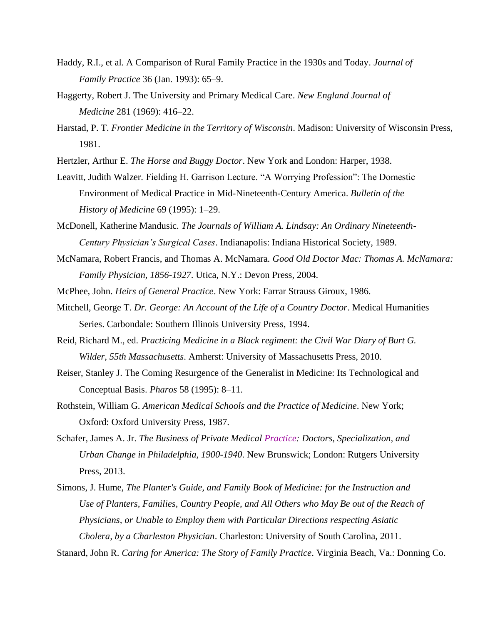- Haddy, R.I., et al. A Comparison of Rural Family Practice in the 1930s and Today. *Journal of Family Practice* 36 (Jan. 1993): 65–9.
- Haggerty, Robert J. The University and Primary Medical Care. *New England Journal of Medicine* 281 (1969): 416–22.
- Harstad, P. T. *Frontier Medicine in the Territory of Wisconsin*. Madison: University of Wisconsin Press, 1981.
- Hertzler, Arthur E. *The Horse and Buggy Doctor*. New York and London: Harper, 1938.
- Leavitt, Judith Walzer. Fielding H. Garrison Lecture. "A Worrying Profession": The Domestic Environment of Medical Practice in Mid-Nineteenth-Century America. *Bulletin of the History of Medicine* 69 (1995): 1–29.
- McDonell, Katherine Mandusic. *The Journals of William A. Lindsay: An Ordinary Nineteenth-Century Physician's Surgical Cases*. Indianapolis: Indiana Historical Society, 1989.
- McNamara, Robert Francis, and Thomas A. McNamara. *Good Old Doctor Mac: Thomas A. McNamara: Family Physician, 1856-1927*. Utica, N.Y.: Devon Press, 2004.
- McPhee, John. *Heirs of General Practice*. New York: Farrar Strauss Giroux, 1986.
- Mitchell, George T. *Dr. George: An Account of the Life of a Country Doctor*. Medical Humanities Series. Carbondale: Southern Illinois University Press, 1994.
- Reid, Richard M., ed. *Practicing Medicine in a Black regiment: the Civil War Diary of Burt G. Wilder, 55th Massachusetts*. Amherst: University of Massachusetts Press, 2010.
- Reiser, Stanley J. The Coming Resurgence of the Generalist in Medicine: Its Technological and Conceptual Basis. *Pharos* 58 (1995): 8–11.
- Rothstein, William G. *American Medical Schools and the Practice of Medicine*. New York; Oxford: Oxford University Press, 1987.
- Schafer, James A. Jr. *The Business of Private Medical Practice: Doctors, Specialization, and Urban Change in Philadelphia, 1900-1940*. New Brunswick; London: Rutgers University Press, 2013.
- Simons, J. Hume, *The Planter's Guide, and Family Book of Medicine: for the Instruction and Use of Planters, Families, Country People, and All Others who May Be out of the Reach of Physicians, or Unable to Employ them with Particular Directions respecting Asiatic Cholera, by a Charleston Physician*. Charleston: University of South Carolina, 2011.

Stanard, John R. *Caring for America: The Story of Family Practice*. Virginia Beach, Va.: Donning Co.